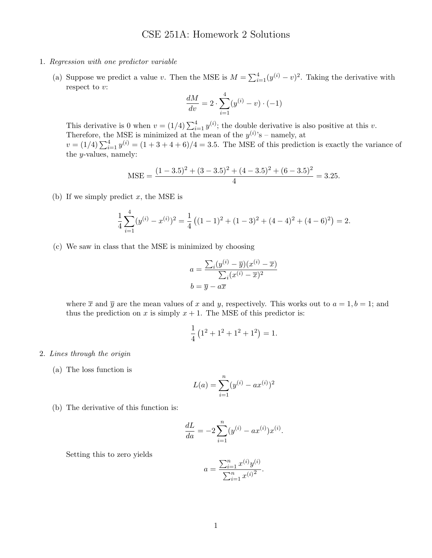- 1. Regression with one predictor variable
	- (a) Suppose we predict a value v. Then the MSE is  $M = \sum_{i=1}^{4} (y^{(i)} v)^2$ . Taking the derivative with respect to v:

$$
\frac{dM}{dv} = 2 \cdot \sum_{i=1}^{4} (y^{(i)} - v) \cdot (-1)
$$

This derivative is 0 when  $v = (1/4) \sum_{i=1}^{4} y^{(i)}$ ; the double derivative is also positive at this v. Therefore, the MSE is minimized at the mean of the  $y^{(i)}$ 's – namely, at

 $v = (1/4) \sum_{i=1}^{4} y^{(i)} = (1 + 3 + 4 + 6)/4 = 3.5$ . The MSE of this prediction is exactly the variance of the y-values, namely:

$$
\text{MSE} = \frac{(1 - 3.5)^2 + (3 - 3.5)^2 + (4 - 3.5)^2 + (6 - 3.5)^2}{4} = 3.25.
$$

(b) If we simply predict  $x$ , the MSE is

$$
\frac{1}{4}\sum_{i=1}^{4} (y^{(i)} - x^{(i)})^2 = \frac{1}{4} ((1-1)^2 + (1-3)^2 + (4-4)^2 + (4-6)^2) = 2.
$$

(c) We saw in class that the MSE is minimized by choosing

$$
a = \frac{\sum_{i}(y^{(i)} - \overline{y})(x^{(i)} - \overline{x})}{\sum_{i}(x^{(i)} - \overline{x})^2}
$$

$$
b = \overline{y} - a\overline{x}
$$

where  $\bar{x}$  and  $\bar{y}$  are the mean values of x and y, respectively. This works out to  $a = 1, b = 1$ ; and thus the prediction on x is simply  $x + 1$ . The MSE of this predictor is:

$$
\frac{1}{4} \left( 1^2 + 1^2 + 1^2 + 1^2 \right) = 1.
$$

## 2. Lines through the origin

(a) The loss function is

$$
L(a) = \sum_{i=1}^{n} (y^{(i)} - ax^{(i)})^2
$$

(b) The derivative of this function is:

$$
\frac{dL}{da} = -2\sum_{i=1}^{n} (y^{(i)} - ax^{(i)})x^{(i)}.
$$

Setting this to zero yields

$$
a = \frac{\sum_{i=1}^{n} x^{(i)} y^{(i)}}{\sum_{i=1}^{n} x^{(i)^2}}.
$$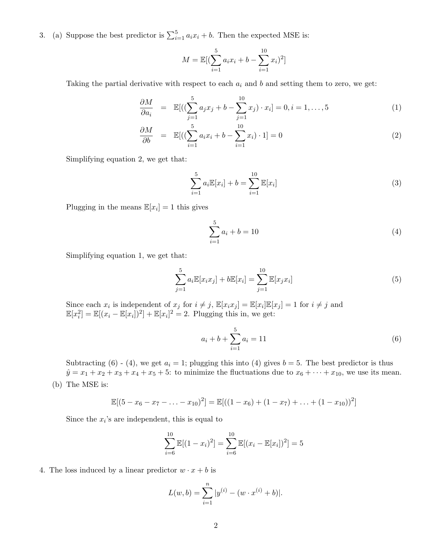3. (a) Suppose the best predictor is  $\sum_{i=1}^{5} a_i x_i + b$ . Then the expected MSE is:

$$
M = \mathbb{E}[(\sum_{i=1}^{5} a_i x_i + b - \sum_{i=1}^{10} x_i)^2]
$$

Taking the partial derivative with respect to each  $a_i$  and b and setting them to zero, we get:

$$
\frac{\partial M}{\partial a_i} = \mathbb{E}[((\sum_{j=1}^5 a_j x_j + b - \sum_{j=1}^{10} x_j) \cdot x_i] = 0, i = 1, ..., 5
$$
 (1)

$$
\frac{\partial M}{\partial b} = \mathbb{E}[((\sum_{i=1}^{5} a_i x_i + b - \sum_{i=1}^{10} x_i) \cdot 1] = 0 \tag{2}
$$

Simplifying equation 2, we get that:

$$
\sum_{i=1}^{5} a_i \mathbb{E}[x_i] + b = \sum_{i=1}^{10} \mathbb{E}[x_i]
$$
 (3)

Plugging in the means  $\mathbb{E}[x_i] = 1$  this gives

$$
\sum_{i=1}^{5} a_i + b = 10 \tag{4}
$$

Simplifying equation 1, we get that:

$$
\sum_{j=1}^{5} a_i \mathbb{E}[x_i x_j] + b \mathbb{E}[x_i] = \sum_{j=1}^{10} \mathbb{E}[x_j x_i]
$$
 (5)

Since each  $x_i$  is independent of  $x_j$  for  $i \neq j$ ,  $\mathbb{E}[x_ix_j] = \mathbb{E}[x_i]\mathbb{E}[x_j] = 1$  for  $i \neq j$  and  $\mathbb{E}[x_i^2] = \mathbb{E}[(x_i - \mathbb{E}[x_i])^2] + \mathbb{E}[x_i]^2 = 2$ . Plugging this in, we get:

$$
a_i + b + \sum_{i=1}^{5} a_i = 11
$$
 (6)

Subtracting (6) - (4), we get  $a_i = 1$ ; plugging this into (4) gives  $b = 5$ . The best predictor is thus  $\hat{y} = x_1 + x_2 + x_3 + x_4 + x_5 + 5$ : to minimize the fluctuations due to  $x_6 + \cdots + x_{10}$ , we use its mean. (b) The MSE is:

$$
\mathbb{E}[(5-x_6-x_7-\ldots-x_{10})^2]=\mathbb{E}[((1-x_6)+(1-x_7)+\ldots+(1-x_{10}))^2]
$$

Since the  $x_i$ 's are independent, this is equal to

$$
\sum_{i=6}^{10} \mathbb{E}[(1-x_i)^2] = \sum_{i=6}^{10} \mathbb{E}[(x_i - \mathbb{E}[x_i])^2] = 5
$$

4. The loss induced by a linear predictor  $w \cdot x + b$  is

$$
L(w, b) = \sum_{i=1}^{n} |y^{(i)} - (w \cdot x^{(i)} + b)|.
$$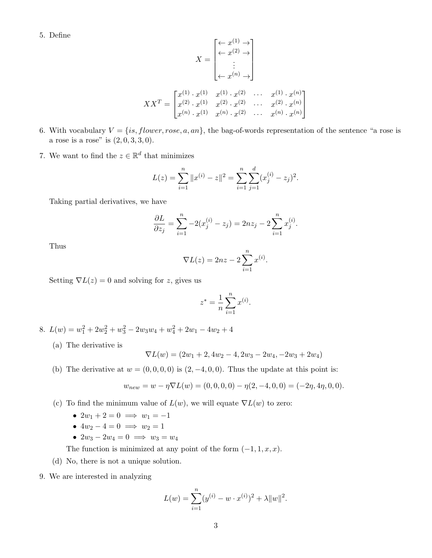5. Define

$$
X = \begin{bmatrix} \leftarrow x^{(1)} \rightarrow \\ \leftarrow x^{(2)} \rightarrow \\ \vdots \\ \leftarrow x^{(n)} \rightarrow \end{bmatrix}
$$

$$
XX^{T} = \begin{bmatrix} x^{(1)} \cdot x^{(1)} & x^{(1)} \cdot x^{(2)} & \cdots & x^{(1)} \cdot x^{(n)} \\ x^{(2)} \cdot x^{(1)} & x^{(2)} \cdot x^{(2)} & \cdots & x^{(2)} \cdot x^{(n)} \\ x^{(n)} \cdot x^{(1)} & x^{(n)} \cdot x^{(2)} & \cdots & x^{(n)} \cdot x^{(n)} \end{bmatrix}
$$

- 6. With vocabulary  $V = \{is, flower, rose, a, an\}$ , the bag-of-words representation of the sentence "a rose is a rose is a rose" is  $(2, 0, 3, 3, 0)$ .
- 7. We want to find the  $z \in \mathbb{R}^d$  that minimizes

$$
L(z) = \sum_{i=1}^{n} ||x^{(i)} - z||^{2} = \sum_{i=1}^{n} \sum_{j=1}^{d} (x_{j}^{(i)} - z_{j})^{2}.
$$

Taking partial derivatives, we have

$$
\frac{\partial L}{\partial z_j} = \sum_{i=1}^n -2(x_j^{(i)} - z_j) = 2nz_j - 2\sum_{i=1}^n x_j^{(i)}.
$$

Thus

$$
\nabla L(z) = 2nz - 2\sum_{i=1}^{n} x^{(i)}.
$$

Setting  $\nabla L(z) = 0$  and solving for z, gives us

$$
z^* = \frac{1}{n} \sum_{i=1}^n x^{(i)}.
$$

8.  $L(w) = w_1^2 + 2w_2^2 + w_3^2 - 2w_3w_4 + w_4^2 + 2w_1 - 4w_2 + 4$ 

(a) The derivative is

$$
\nabla L(w) = (2w_1 + 2, 4w_2 - 4, 2w_3 - 2w_4, -2w_3 + 2w_4)
$$

(b) The derivative at  $w = (0, 0, 0, 0)$  is  $(2, -4, 0, 0)$ . Thus the update at this point is:

$$
w_{new} = w - \eta \nabla L(w) = (0, 0, 0, 0) - \eta(2, -4, 0, 0) = (-2\eta, 4\eta, 0, 0).
$$

- (c) To find the minimum value of  $L(w)$ , we will equate  $\nabla L(w)$  to zero:
	- $2w_1 + 2 = 0 \implies w_1 = -1$
	- $4w_2 4 = 0 \implies w_2 = 1$
	- $2w_3 2w_4 = 0 \implies w_3 = w_4$

The function is minimized at any point of the form  $(-1, 1, x, x)$ .

(d) No, there is not a unique solution.

9. We are interested in analyzing

$$
L(w) = \sum_{i=1}^{n} (y^{(i)} - w \cdot x^{(i)})^2 + \lambda ||w||^2.
$$